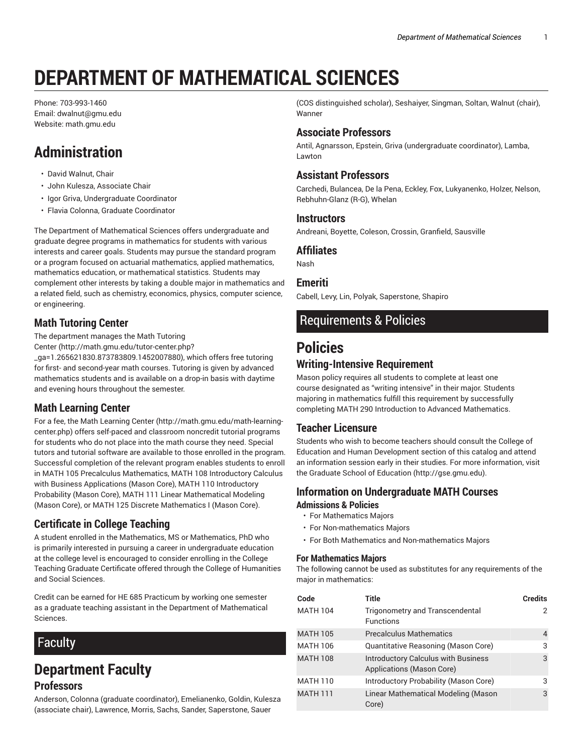# **DEPARTMENT OF MATHEMATICAL SCIENCES**

Phone: 703-993-1460 Email: dwalnut@gmu.edu Website: math.gmu.edu

## **Administration**

- David Walnut, Chair
- John Kulesza, Associate Chair
- Igor Griva, Undergraduate Coordinator
- Flavia Colonna, Graduate Coordinator

The Department of Mathematical Sciences offers undergraduate and graduate degree programs in mathematics for students with various interests and career goals. Students may pursue the standard program or a program focused on actuarial mathematics, applied mathematics, mathematics education, or mathematical statistics. Students may complement other interests by taking a double major in mathematics and a related field, such as chemistry, economics, physics, computer science, or engineering.

## **Math Tutoring Center**

The department manages the Math Tutoring

Center (http://math.gmu.edu/tutor-center.php?

\_ga=1.265621830.873783809.1452007880), which offers free tutoring for first- and second-year math courses. Tutoring is given by advanced mathematics students and is available on a drop-in basis with daytime and evening hours throughout the semester.

## **Math Learning Center**

For a fee, the Math Learning Center (http://math.gmu.edu/math-learningcenter.php) offers self-paced and classroom noncredit tutorial programs for students who do not place into the math course they need. Special tutors and tutorial software are available to those enrolled in the program. Successful completion of the relevant program enables students to enroll in MATH 105 Precalculus Mathematics, MATH 108 Introductory Calculus with Business Applications (Mason Core), MATH 110 Introductory Probability (Mason Core), MATH 111 Linear Mathematical Modeling (Mason Core), or MATH 125 Discrete Mathematics I (Mason Core).

## **Certificate in College Teaching**

A student enrolled in the Mathematics, MS or Mathematics, PhD who is primarily interested in pursuing a career in undergraduate education at the college level is encouraged to consider enrolling in the College Teaching Graduate Certificate offered through the College of Humanities and Social Sciences.

Credit can be earned for HE 685 Practicum by working one semester as a graduate teaching assistant in the Department of Mathematical Sciences.

## Faculty

## **Department Faculty Professors**

Anderson, Colonna (graduate coordinator), Emelianenko, Goldin, Kulesza (associate chair), Lawrence, Morris, Sachs, Sander, Saperstone, Sauer

(COS distinguished scholar), Seshaiyer, Singman, Soltan, Walnut (chair), Wanner

## **Associate Professors**

Antil, Agnarsson, Epstein, Griva (undergraduate coordinator), Lamba, Lawton

#### **Assistant Professors**

Carchedi, Bulancea, De la Pena, Eckley, Fox, Lukyanenko, Holzer, Nelson, Rebhuhn-Glanz (R-G), Whelan

#### **Instructors**

Andreani, Boyette, Coleson, Crossin, Granfield, Sausville

#### **Affiliates**

Nash

#### **Emeriti**

Cabell, Levy, Lin, Polyak, Saperstone, Shapiro

## Requirements & Policies

## **Policies**

## **Writing-Intensive Requirement**

Mason policy requires all students to complete at least one course designated as "writing intensive" in their major. Students majoring in mathematics fulfill this requirement by successfully completing MATH 290 Introduction to Advanced Mathematics.

#### **Teacher Licensure**

Students who wish to become teachers should consult the College of Education and Human Development section of this catalog and attend an information session early in their studies. For more information, visit the Graduate School of Education (http://gse.gmu.edu).

#### **Information on Undergraduate MATH Courses Admissions & Policies**

- For Mathematics Majors
- For Non-mathematics Majors
- For Both Mathematics and Non-mathematics Majors

#### **For Mathematics Majors**

The following cannot be used as substitutes for any requirements of the major in mathematics:

| Code            | Title                                                                   | <b>Credits</b> |
|-----------------|-------------------------------------------------------------------------|----------------|
| <b>MATH 104</b> | Trigonometry and Transcendental<br><b>Functions</b>                     | 2              |
| <b>MATH 105</b> | <b>Precalculus Mathematics</b>                                          | 4              |
| <b>MATH 106</b> | Quantitative Reasoning (Mason Core)                                     | 3              |
| <b>MATH 108</b> | <b>Introductory Calculus with Business</b><br>Applications (Mason Core) | 3              |
| <b>MATH 110</b> | Introductory Probability (Mason Core)                                   | 3              |
| <b>MATH 111</b> | Linear Mathematical Modeling (Mason<br>Core)                            | 3              |